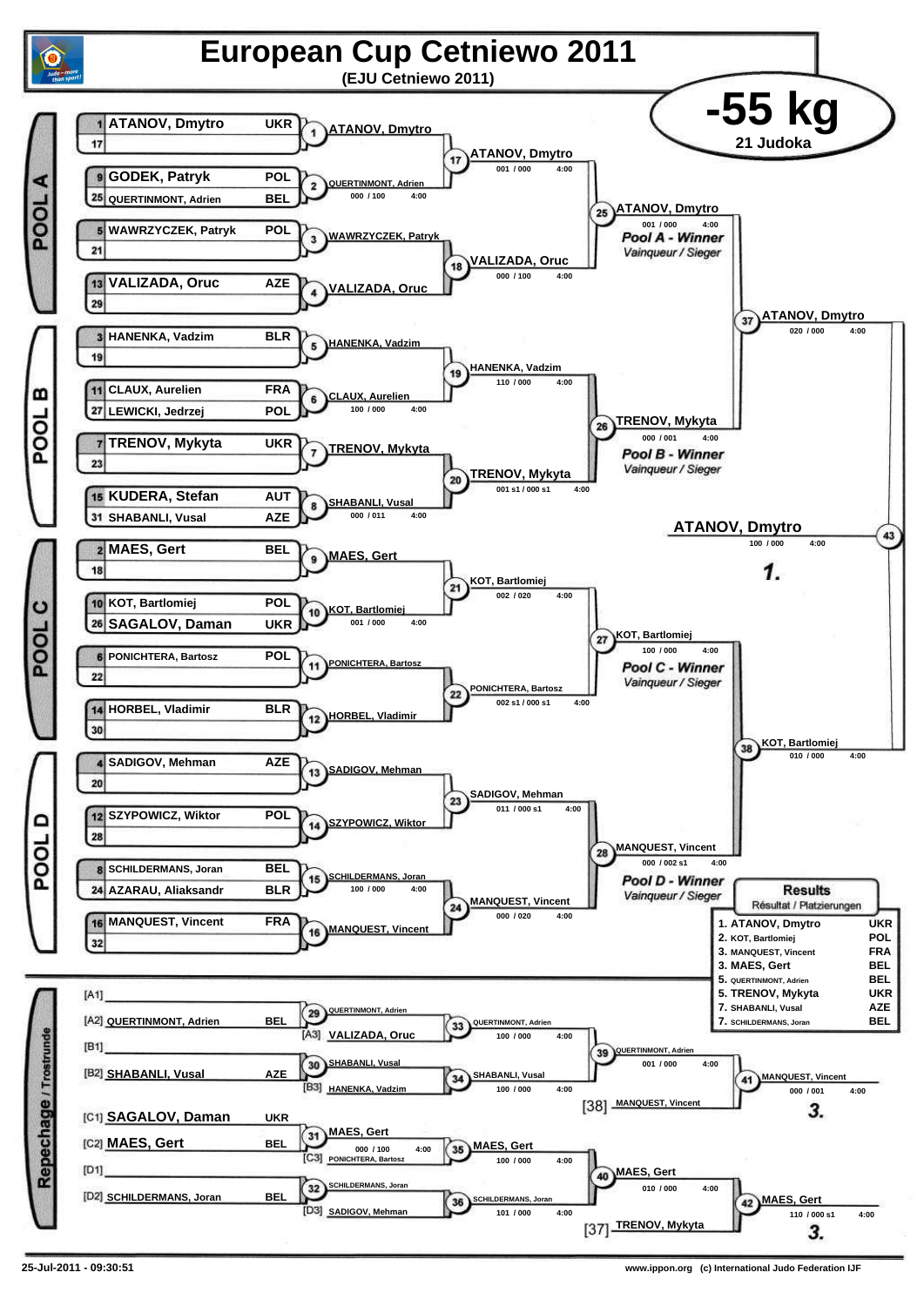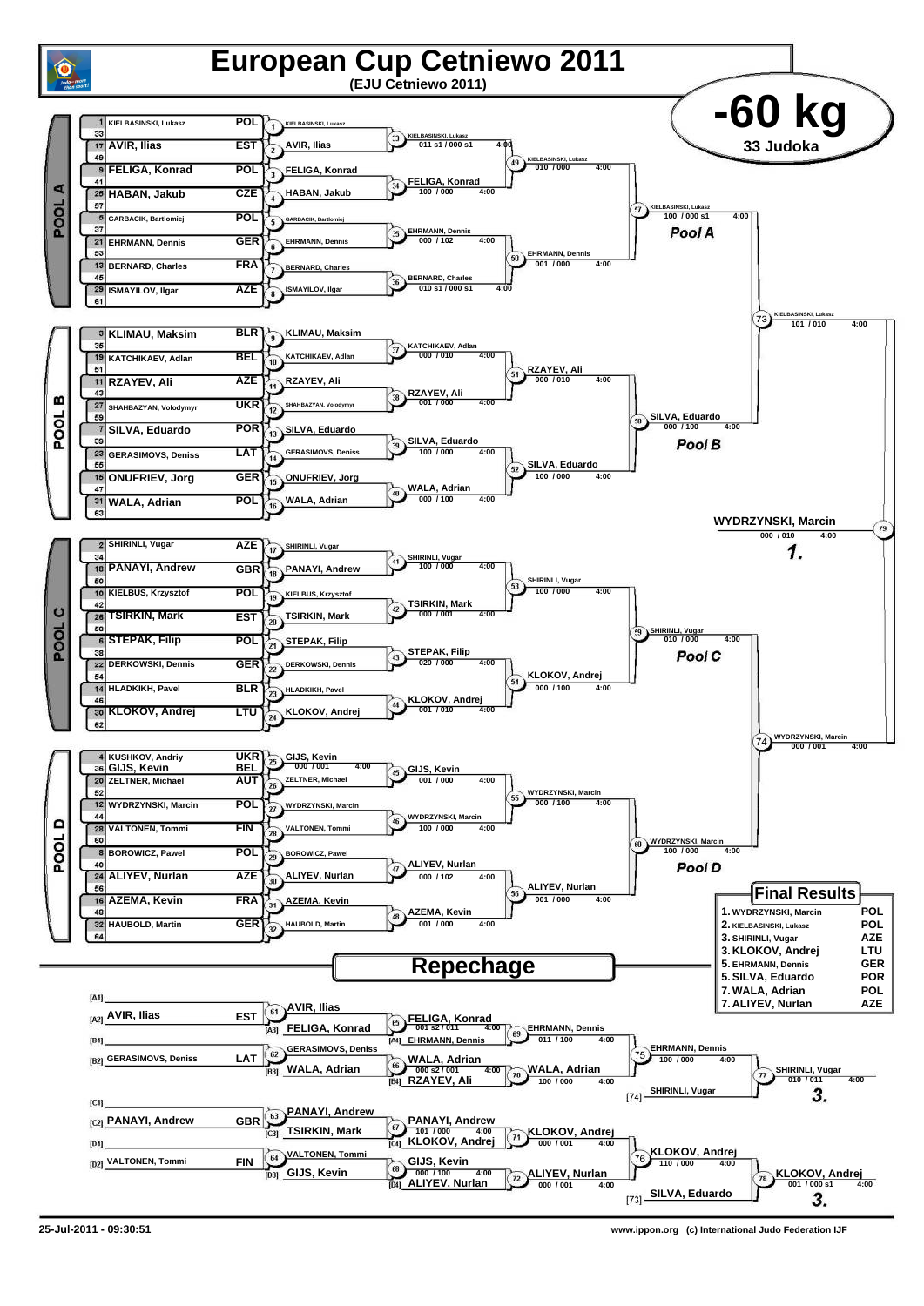

**25-Jul-2011 - 09:30:51 www.ippon.org (c) International Judo Federation IJF**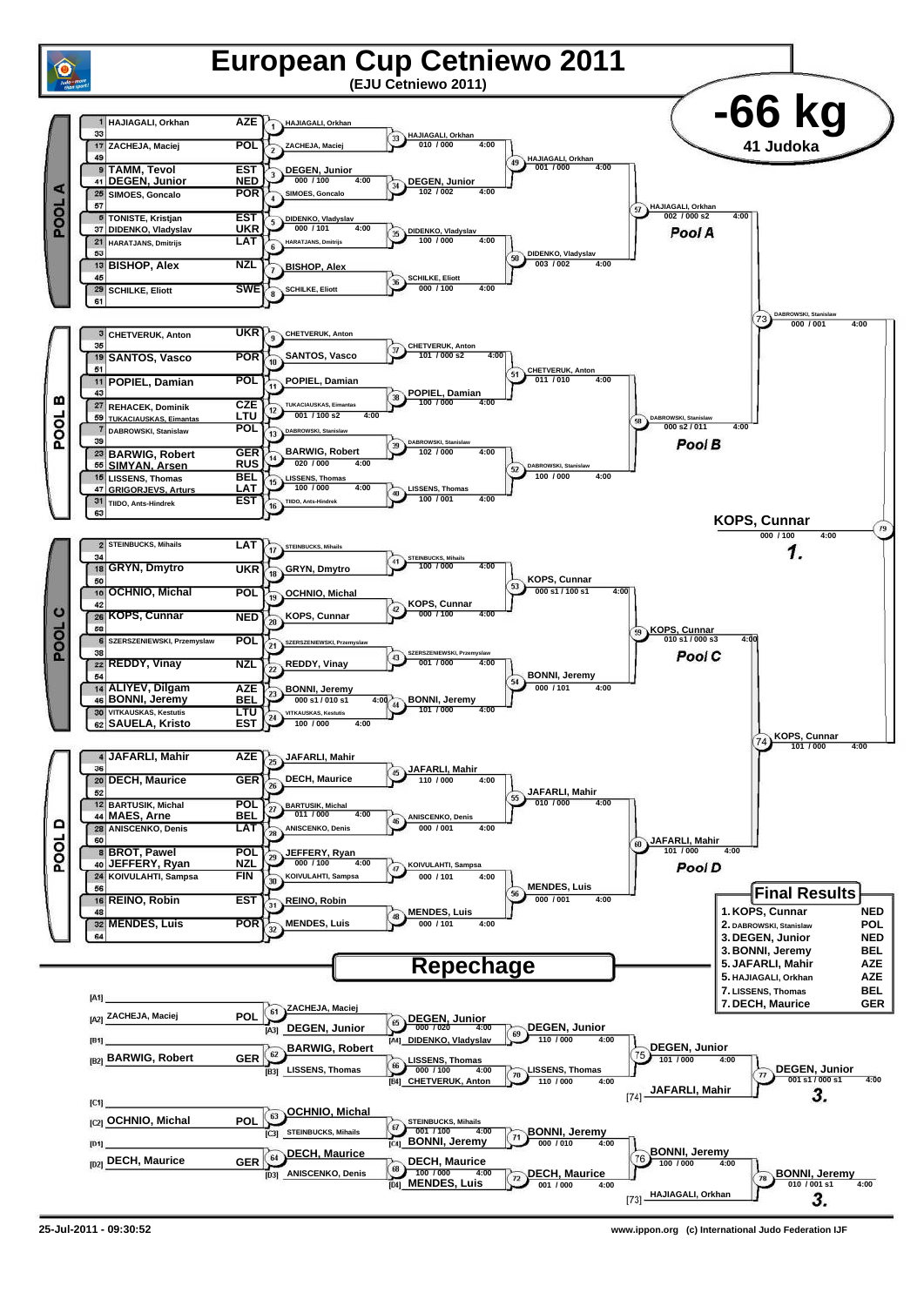

**<sup>25-</sup>Jul-2011 - 09:30:52 www.ippon.org (c) International Judo Federation IJF**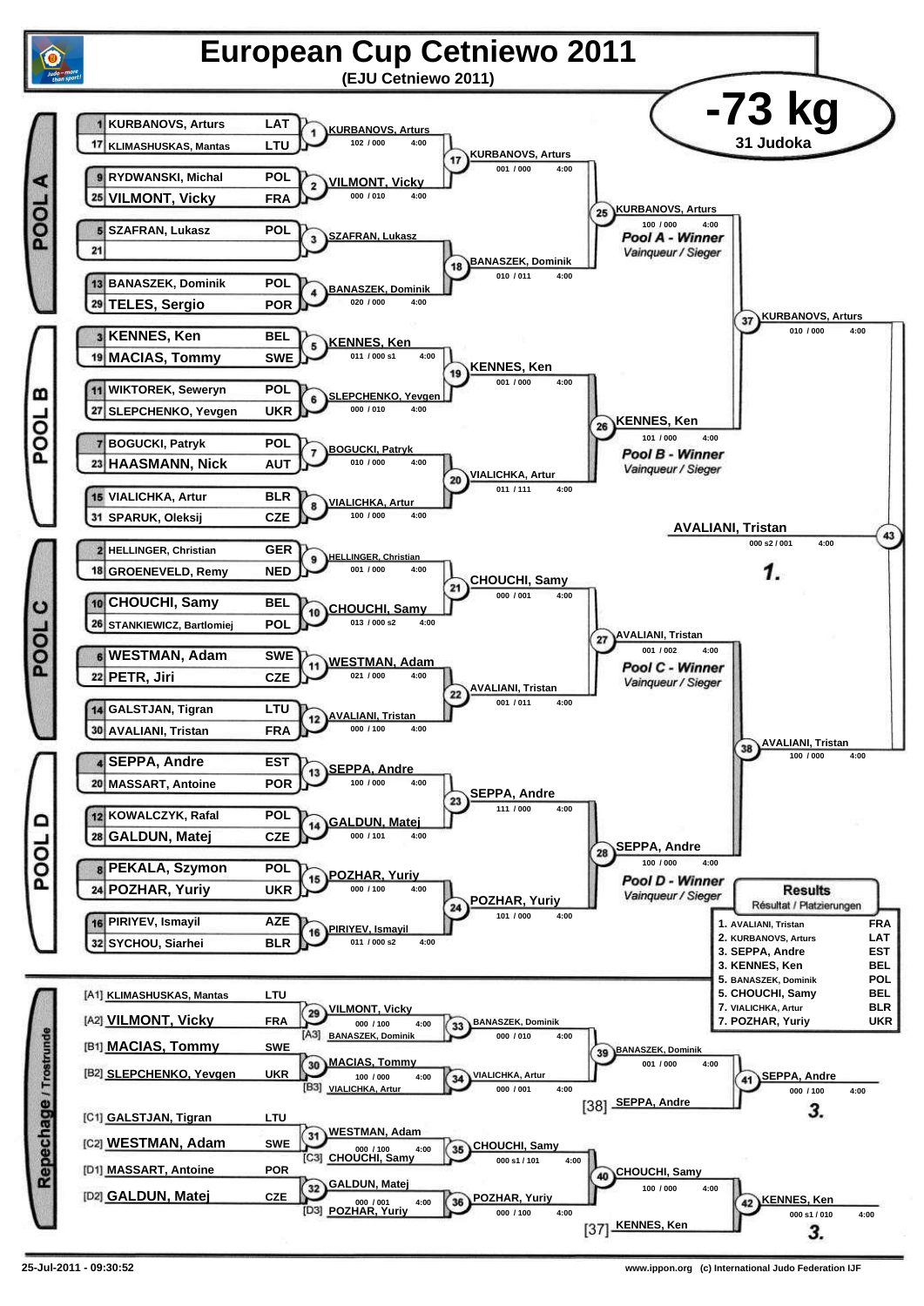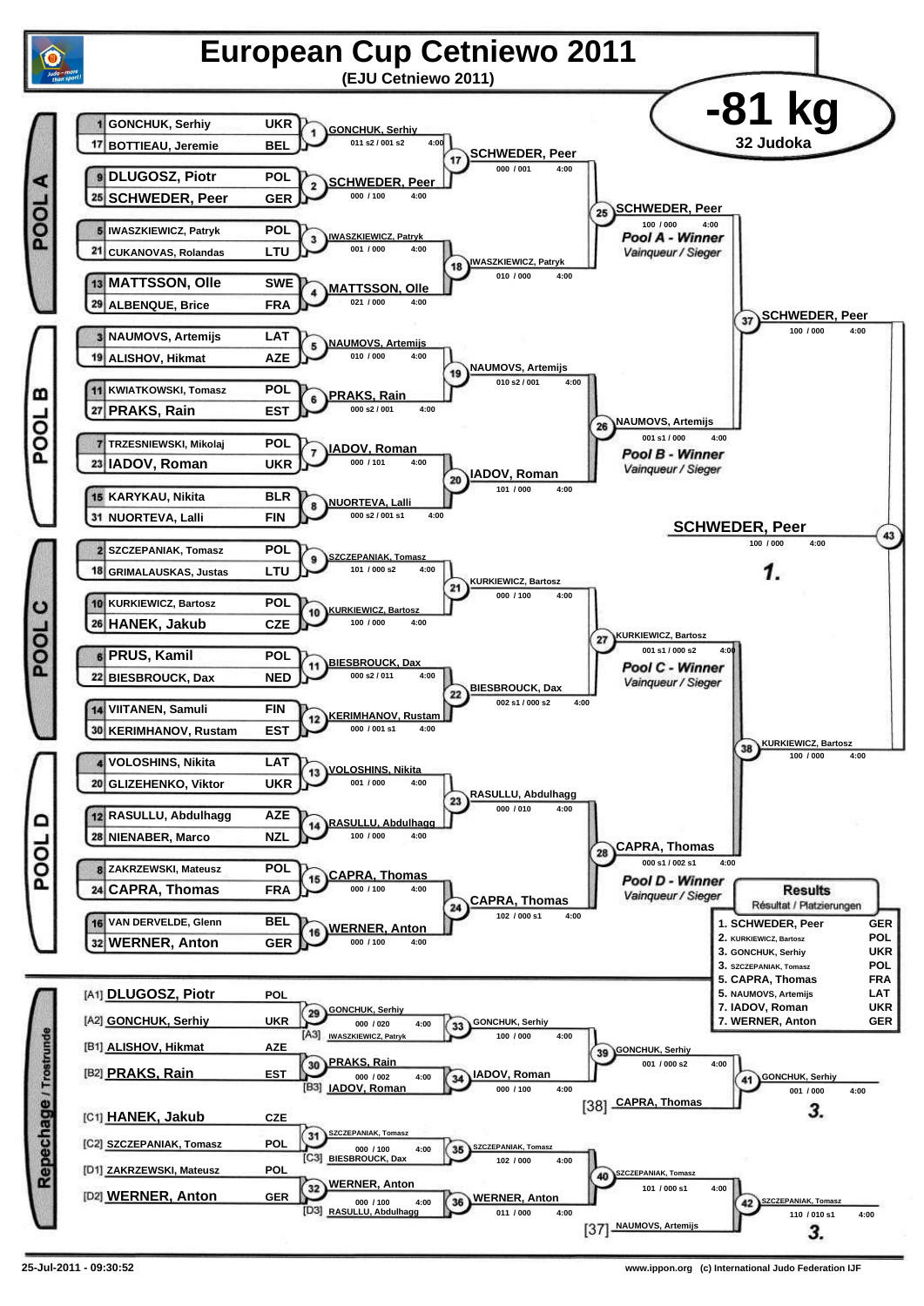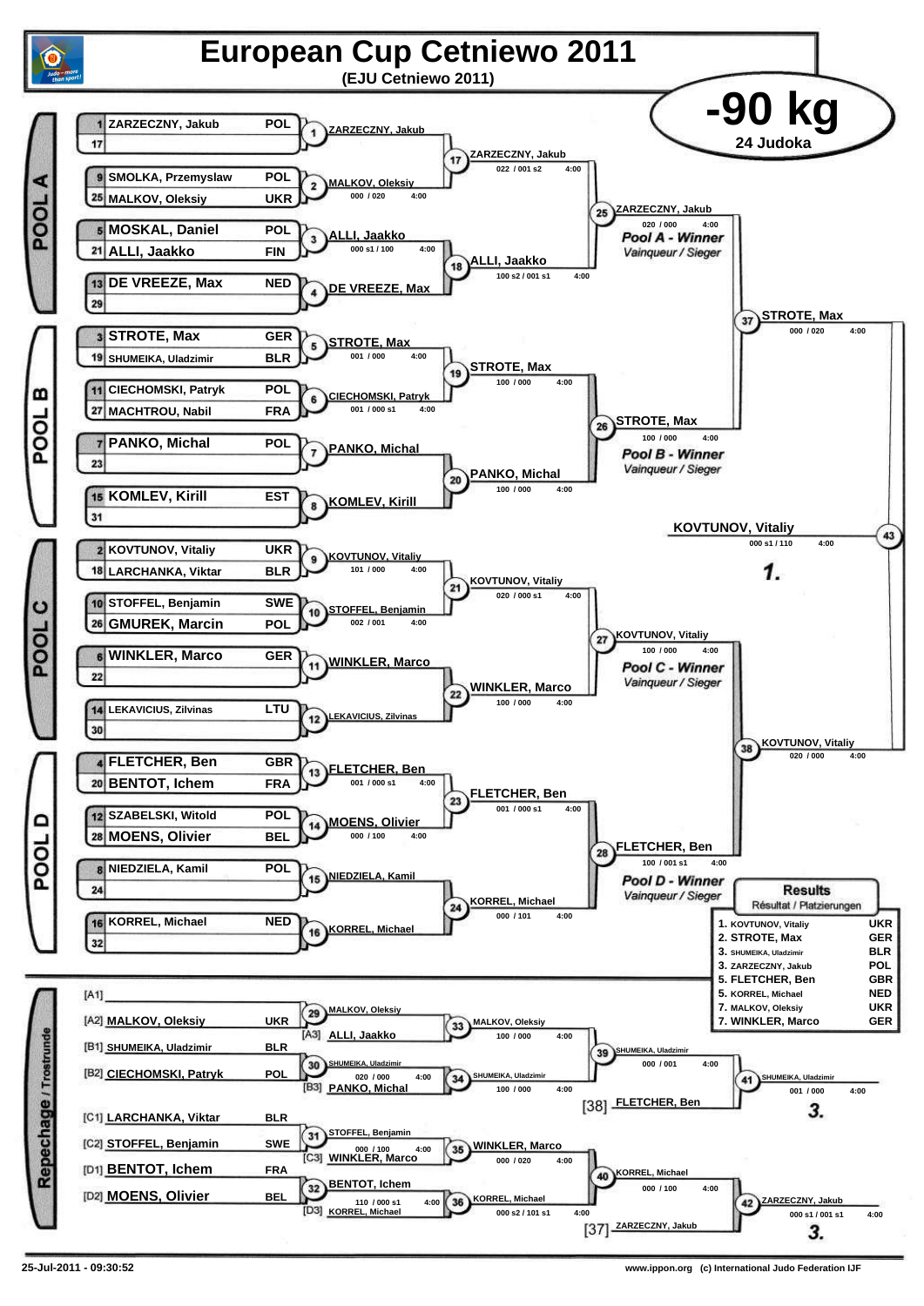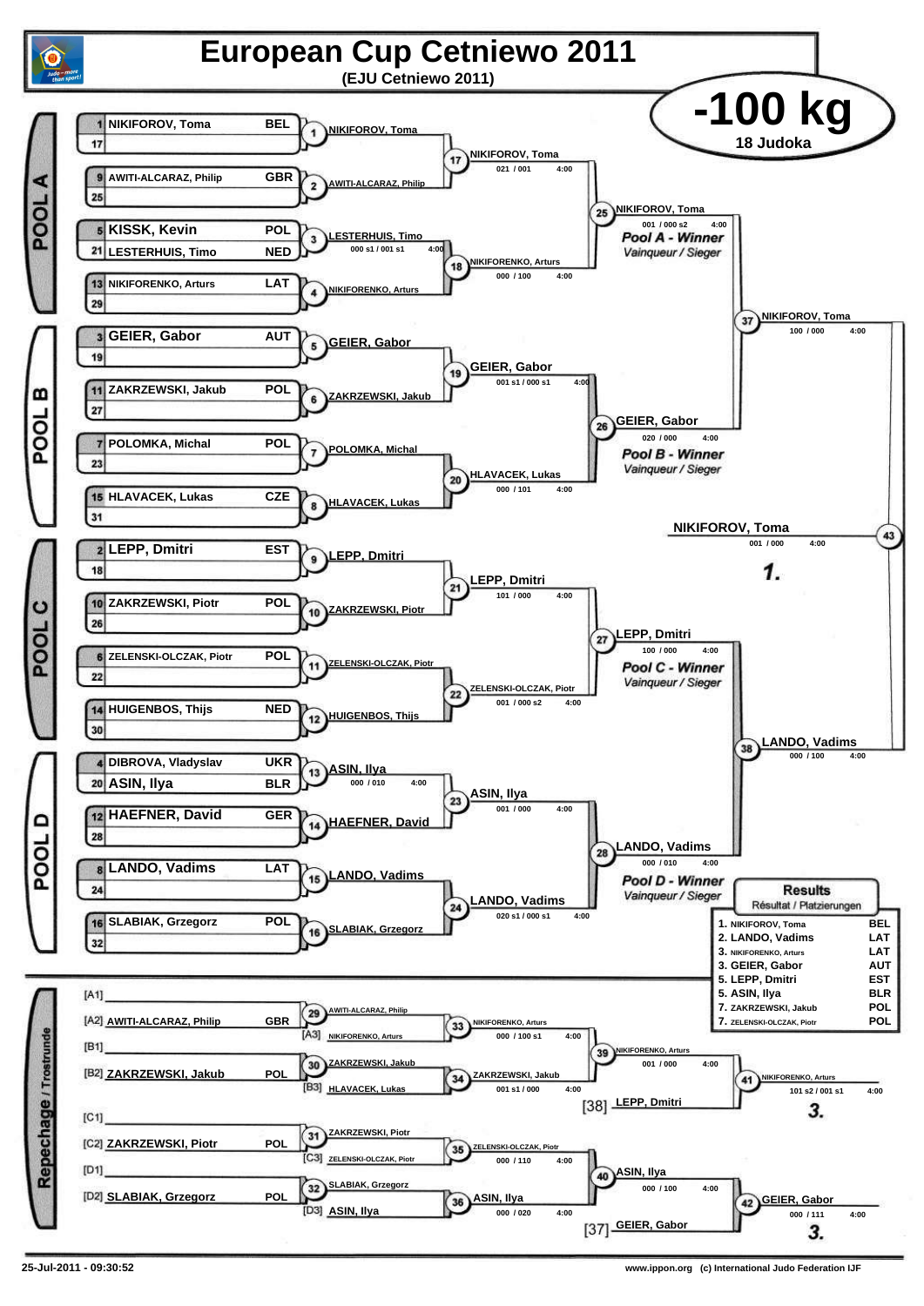